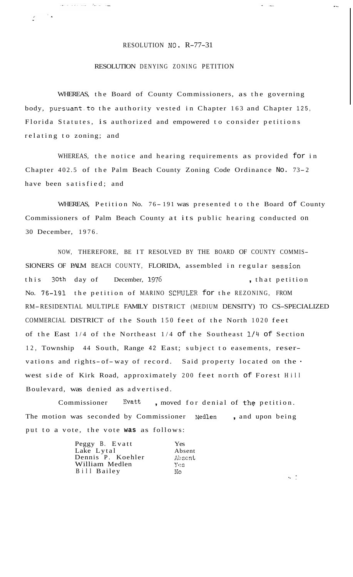## RESOLUTION NO. R-77-31

لسادا الدمعات الثناء الديان للمبدأ

 $\mathcal{L}_{\mathbf{A}}$  $\mathcal{L}^{\text{max}}$ 

## RESOLUTION DENYING ZONING PETITION

WHEREAS, the Board of County Commissioners, as the governing body, pursuant to the authority vested in Chapter 163 and Chapter 125, Florida Statutes, is authorized and empowered to consider petitions relating to zoning; and

WHEREAS, the notice and hearing requirements as provided for in Chapter 402.5 of the Palm Beach County Zoning Code Ordinance No. 73- <sup>2</sup> have been satisfied; and

WHEREAS, Petition No. 76-191 was presented to the Board of County Commissioners of Palm Beach County at its public hearing conducted on 30 December, 1976.

NOW, THEREFORE, BE IT RESOLVED BY THE BOARD OF COUNTY COMMIS-SIONERS OF PALM BEACH COUNTY, FLORIDA, assembled in regular session this 30th day of December, **1976** , that petition No. 76-191 the petition of MARINO SCHULER for the REZONING, FROM RM-RESIDENTIAL MULTIPLE FAMILY DISTRICT (MEDIUM DENSITY) TO CS-SPECIALIZED COMMERCIAL DISTRICT of the South 150 feet of the North 1020 feet of the East 1/4 of the Northeast 1/4 of the Southeast 1/4 of Section 12, Township 44 South, Range 42 East; subject to easements, reservations and rights-of-way of record. Said property located on the . west side of Kirk Road, approximately 200 feet north of Forest Hill Boulevard, was denied as advertised.

Commissioner Evatt, moved for denial of the petition. The motion was seconded by Commissioner Medlen, and upon being put to a vote, the vote **was** as follows:

| Peggy B. Evatt    | Yes    |
|-------------------|--------|
| Lake Lytal        | Absent |
| Dennis P. Koehler | Absent |
| William Medlen    | Yes    |
| Bill Bailey       | NΩ     |

 $\epsilon_{\rm d} = \frac{1}{\epsilon}$